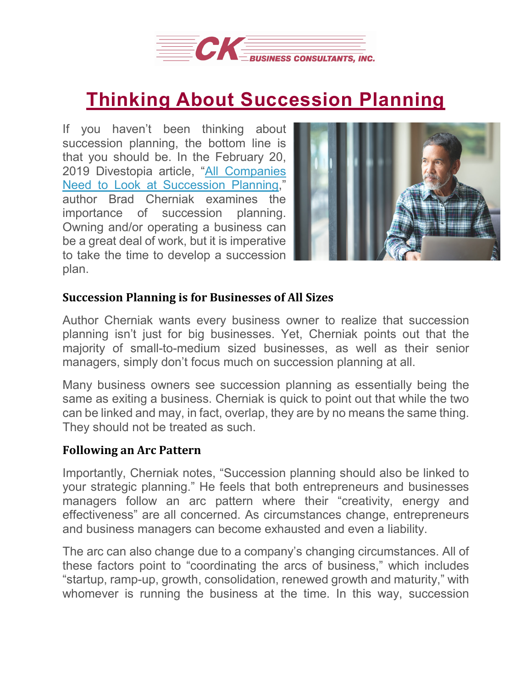

## **Thinking About [Succession](https://deal-studio.com/thinking-about-succession-planning/) Planning**

If you haven't been thinking about succession planning, the bottom line is that you should be. In the February 20, 2019 Divestopia article, "All [Companies](https://www.divestopedia.com/all-companies-need-to-look-at-succession-planning/2/8331) Need to Look at [Succession](https://www.divestopedia.com/all-companies-need-to-look-at-succession-planning/2/8331) Planning," author Brad Cherniak examines the importance of succession planning. Owning and/or operating a business can be a great deal of work, but it is imperative to take the time to develop a succession plan.



## **Succession Planning is for Businesses of All Sizes**

Author Cherniak wants every business owner to realize that succession planning isn't just for big businesses. Yet, Cherniak points out that the majority of small-to-medium sized businesses, as well as their senior managers, simply don't focus much on succession planning at all.

Many business owners see succession planning as essentially being the same as exiting a business. Cherniak is quick to point out that while the two can be linked and may, in fact, overlap, they are by no means the same thing. They should not be treated as such.

## **Following an Arc Pattern**

Importantly, Cherniak notes, "Succession planning should also be linked to your strategic planning." He feels that both entrepreneurs and businesses managers follow an arc pattern where their "creativity, energy and effectiveness" are all concerned. As circumstances change, entrepreneurs and business managers can become exhausted and even a liability.

The arc can also change due to a company's changing circumstances. All of these factors point to "coordinating the arcs of business," which includes "startup, ramp-up, growth, consolidation, renewed growth and maturity," with whomever is running the business at the time. In this way, succession